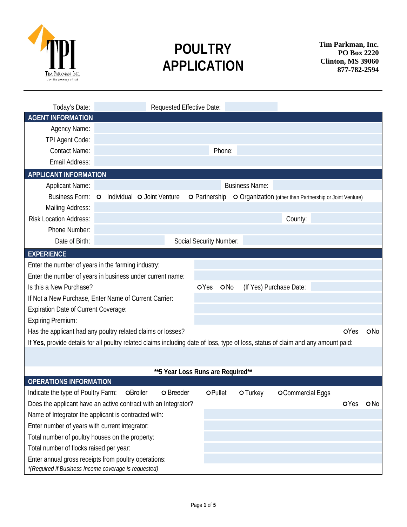

# **POULTRY APPLICATION**

**Tim Parkman, Inc. PO Box 2220 Clinton, MS 39060 877-782-2594**

| Today's Date:                                                                                                                     | Requested Effective Date: |                            |                                   |  |                         |          |                                                          |      |                 |  |  |  |  |  |
|-----------------------------------------------------------------------------------------------------------------------------------|---------------------------|----------------------------|-----------------------------------|--|-------------------------|----------|----------------------------------------------------------|------|-----------------|--|--|--|--|--|
| <b>AGENT INFORMATION</b>                                                                                                          |                           |                            |                                   |  |                         |          |                                                          |      |                 |  |  |  |  |  |
| Agency Name:                                                                                                                      |                           |                            |                                   |  |                         |          |                                                          |      |                 |  |  |  |  |  |
| TPI Agent Code:                                                                                                                   |                           |                            |                                   |  |                         |          |                                                          |      |                 |  |  |  |  |  |
| <b>Contact Name:</b>                                                                                                              | Phone:                    |                            |                                   |  |                         |          |                                                          |      |                 |  |  |  |  |  |
| Email Address:                                                                                                                    |                           |                            |                                   |  |                         |          |                                                          |      |                 |  |  |  |  |  |
| <b>APPLICANT INFORMATION</b>                                                                                                      |                           |                            |                                   |  |                         |          |                                                          |      |                 |  |  |  |  |  |
| <b>Applicant Name:</b>                                                                                                            | <b>Business Name:</b>     |                            |                                   |  |                         |          |                                                          |      |                 |  |  |  |  |  |
| <b>Business Form:</b>                                                                                                             | $\circ$                   | Individual O Joint Venture |                                   |  | O Partnership           |          | O Organization (other than Partnership or Joint Venture) |      |                 |  |  |  |  |  |
| Mailing Address:                                                                                                                  |                           |                            |                                   |  |                         |          |                                                          |      |                 |  |  |  |  |  |
| <b>Risk Location Address:</b>                                                                                                     |                           |                            |                                   |  |                         |          | County:                                                  |      |                 |  |  |  |  |  |
| Phone Number:                                                                                                                     |                           |                            |                                   |  |                         |          |                                                          |      |                 |  |  |  |  |  |
| Date of Birth:                                                                                                                    |                           |                            |                                   |  | Social Security Number: |          |                                                          |      |                 |  |  |  |  |  |
| <b>EXPERIENCE</b>                                                                                                                 |                           |                            |                                   |  |                         |          |                                                          |      |                 |  |  |  |  |  |
| Enter the number of years in the farming industry:                                                                                |                           |                            |                                   |  |                         |          |                                                          |      |                 |  |  |  |  |  |
| Enter the number of years in business under current name:                                                                         |                           |                            |                                   |  |                         |          |                                                          |      |                 |  |  |  |  |  |
| Is this a New Purchase?                                                                                                           |                           |                            |                                   |  | <b>OYes</b><br>O No     |          | (If Yes) Purchase Date:                                  |      |                 |  |  |  |  |  |
| If Not a New Purchase, Enter Name of Current Carrier:                                                                             |                           |                            |                                   |  |                         |          |                                                          |      |                 |  |  |  |  |  |
| <b>Expiration Date of Current Coverage:</b>                                                                                       |                           |                            |                                   |  |                         |          |                                                          |      |                 |  |  |  |  |  |
| <b>Expiring Premium:</b>                                                                                                          |                           |                            |                                   |  |                         |          |                                                          |      |                 |  |  |  |  |  |
| Has the applicant had any poultry related claims or losses?                                                                       |                           |                            |                                   |  |                         |          |                                                          | OYes | ONo             |  |  |  |  |  |
| If Yes, provide details for all poultry related claims including date of loss, type of loss, status of claim and any amount paid: |                           |                            |                                   |  |                         |          |                                                          |      |                 |  |  |  |  |  |
|                                                                                                                                   |                           |                            |                                   |  |                         |          |                                                          |      |                 |  |  |  |  |  |
|                                                                                                                                   |                           |                            |                                   |  |                         |          |                                                          |      |                 |  |  |  |  |  |
|                                                                                                                                   |                           |                            | **5 Year Loss Runs are Required** |  |                         |          |                                                          |      |                 |  |  |  |  |  |
| <b>OPERATIONS INFORMATION</b>                                                                                                     |                           |                            |                                   |  |                         |          |                                                          |      |                 |  |  |  |  |  |
| Indicate the type of Poultry Farm:                                                                                                |                           | OBroiler                   | O Breeder                         |  | OPullet                 | O Turkey | OCommercial Eggs                                         |      |                 |  |  |  |  |  |
| Does the applicant have an active contract with an Integrator?                                                                    |                           |                            |                                   |  |                         |          |                                                          | OYes | O <sub>No</sub> |  |  |  |  |  |
| Name of Integrator the applicant is contracted with:                                                                              |                           |                            |                                   |  |                         |          |                                                          |      |                 |  |  |  |  |  |
| Enter number of years with current integrator:                                                                                    |                           |                            |                                   |  |                         |          |                                                          |      |                 |  |  |  |  |  |
| Total number of poultry houses on the property:                                                                                   |                           |                            |                                   |  |                         |          |                                                          |      |                 |  |  |  |  |  |
| Total number of flocks raised per year:                                                                                           |                           |                            |                                   |  |                         |          |                                                          |      |                 |  |  |  |  |  |
| Enter annual gross receipts from poultry operations:                                                                              |                           |                            |                                   |  |                         |          |                                                          |      |                 |  |  |  |  |  |
| *(Required if Business Income coverage is requested)                                                                              |                           |                            |                                   |  |                         |          |                                                          |      |                 |  |  |  |  |  |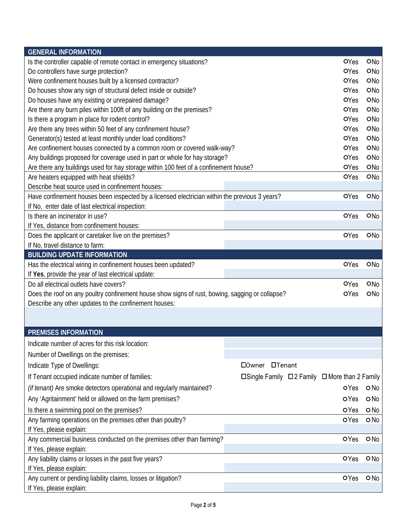| <b>GENERAL INFORMATION</b>                                                                      |                                                                         |             |                 |
|-------------------------------------------------------------------------------------------------|-------------------------------------------------------------------------|-------------|-----------------|
| Is the controller capable of remote contact in emergency situations?                            |                                                                         | OYes        | ONo             |
| Do controllers have surge protection?                                                           |                                                                         | OYes        | ONo             |
| Were confinement houses built by a licensed contractor?                                         |                                                                         | OYes        | <b>ONo</b>      |
| Do houses show any sign of structural defect inside or outside?                                 |                                                                         | OYes        | ON <sub>0</sub> |
| Do houses have any existing or unrepaired damage?                                               |                                                                         | OYes        | <b>ONo</b>      |
| Are there any burn piles within 100ft of any building on the premises?                          |                                                                         | OYes        | ONo             |
| Is there a program in place for rodent control?                                                 |                                                                         | OYes        | ONo             |
| Are there any trees within 50 feet of any confinement house?                                    |                                                                         | OYes        | ONo             |
| Generator(s) tested at least monthly under load conditions?                                     |                                                                         | OYes        | ONo             |
| Are confinement houses connected by a common room or covered walk-way?                          |                                                                         | OYes        | ONo             |
| Any buildings proposed for coverage used in part or whole for hay storage?                      |                                                                         | OYes        | ONo             |
| Are there any buildings used for hay storage within 100 feet of a confinement house?            |                                                                         | OYes        | ONo             |
| Are heaters equipped with heat shields?                                                         |                                                                         | OYes        | ONo             |
| Describe heat source used in confinement houses:                                                |                                                                         |             |                 |
| Have confinement houses been inspected by a licensed electrician within the previous 3 years?   |                                                                         | OYes        | <b>ONo</b>      |
| If No, enter date of last electrical inspection:                                                |                                                                         |             |                 |
| Is there an incinerator in use?                                                                 |                                                                         | OYes        | ONo             |
| If Yes, distance from confinement houses:                                                       |                                                                         |             |                 |
| Does the applicant or caretaker live on the premises?                                           |                                                                         | OYes        | ONo             |
| If No, travel distance to farm:                                                                 |                                                                         |             |                 |
| <b>BUILDING UPDATE INFORMATION</b>                                                              |                                                                         |             |                 |
| Has the electrical wiring in confinement houses been updated?                                   |                                                                         | OYes        | ONo             |
| If Yes, provide the year of last electrical update:                                             |                                                                         |             |                 |
| Do all electrical outlets have covers?                                                          |                                                                         | OYes        | ONo             |
| Does the roof on any poultry confinement house show signs of rust, bowing, sagging or collapse? |                                                                         | OYes        | ONo             |
| Describe any other updates to the confinement houses:                                           |                                                                         |             |                 |
|                                                                                                 |                                                                         |             |                 |
|                                                                                                 |                                                                         |             |                 |
| <b>PREMISES INFORMATION</b>                                                                     |                                                                         |             |                 |
| Indicate number of acres for this risk location:                                                |                                                                         |             |                 |
| Number of Dwellings on the premises:                                                            |                                                                         |             |                 |
| Indicate Type of Dwellings:                                                                     | <b>OTenant</b><br><b>Downer</b>                                         |             |                 |
| If Tenant occupied indicate number of families:                                                 | $\square$ Single Family $\square$ 2 Family $\square$ More than 2 Family |             |                 |
| (if tenant) Are smoke detectors operational and regularly maintained?                           |                                                                         | oYes        | O No            |
|                                                                                                 |                                                                         |             |                 |
| Any 'Agritainment' held or allowed on the farm premises?                                        |                                                                         | <b>OYes</b> | ONo             |
| Is there a swimming pool on the premises?                                                       |                                                                         | OYes        | $O$ No          |
| Any farming operations on the premises other than poultry?                                      |                                                                         | <b>OYes</b> | $O$ No          |
| If Yes, please explain:                                                                         |                                                                         |             |                 |
| Any commercial business conducted on the premises other than farming?                           |                                                                         | OYes        | $O$ No          |
| If Yes, please explain:                                                                         |                                                                         |             |                 |
| Any liability claims or losses in the past five years?                                          |                                                                         | OYes        | $O$ No          |
| If Yes, please explain:                                                                         |                                                                         |             |                 |
| Any current or pending liability claims, losses or litigation?                                  |                                                                         | OYes        | $O$ No          |
| If Yes, please explain:                                                                         |                                                                         |             |                 |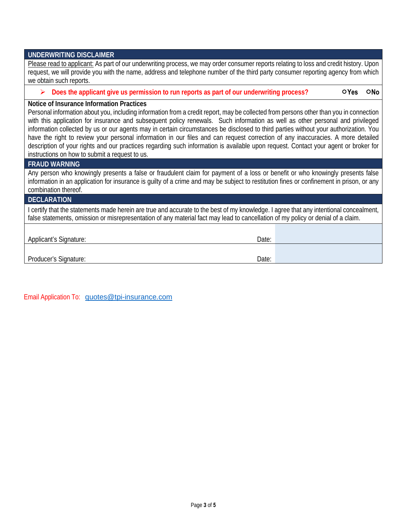| <b>UNDERWRITING DISCLAIMER</b>                                                                                                                                                                                                                                                                                                                                                                                                                                                                                                                                                                                                                                                                                                                                                           |  |  |  |  |  |  |  |  |
|------------------------------------------------------------------------------------------------------------------------------------------------------------------------------------------------------------------------------------------------------------------------------------------------------------------------------------------------------------------------------------------------------------------------------------------------------------------------------------------------------------------------------------------------------------------------------------------------------------------------------------------------------------------------------------------------------------------------------------------------------------------------------------------|--|--|--|--|--|--|--|--|
| Please read to applicant: As part of our underwriting process, we may order consumer reports relating to loss and credit history. Upon<br>request, we will provide you with the name, address and telephone number of the third party consumer reporting agency from which<br>we obtain such reports.                                                                                                                                                                                                                                                                                                                                                                                                                                                                                    |  |  |  |  |  |  |  |  |
| Does the applicant give us permission to run reports as part of our underwriting process?<br>OYes<br>ONo                                                                                                                                                                                                                                                                                                                                                                                                                                                                                                                                                                                                                                                                                 |  |  |  |  |  |  |  |  |
| Notice of Insurance Information Practices<br>Personal information about you, including information from a credit report, may be collected from persons other than you in connection<br>with this application for insurance and subsequent policy renewals. Such information as well as other personal and privileged<br>information collected by us or our agents may in certain circumstances be disclosed to third parties without your authorization. You<br>have the right to review your personal information in our files and can request correction of any inaccuracies. A more detailed<br>description of your rights and our practices regarding such information is available upon request. Contact your agent or broker for<br>instructions on how to submit a request to us. |  |  |  |  |  |  |  |  |
| <b>FRAUD WARNING</b>                                                                                                                                                                                                                                                                                                                                                                                                                                                                                                                                                                                                                                                                                                                                                                     |  |  |  |  |  |  |  |  |
| Any person who knowingly presents a false or fraudulent claim for payment of a loss or benefit or who knowingly presents false<br>information in an application for insurance is guilty of a crime and may be subject to restitution fines or confinement in prison, or any<br>combination thereof.                                                                                                                                                                                                                                                                                                                                                                                                                                                                                      |  |  |  |  |  |  |  |  |
| <b>DECLARATION</b>                                                                                                                                                                                                                                                                                                                                                                                                                                                                                                                                                                                                                                                                                                                                                                       |  |  |  |  |  |  |  |  |
| I certify that the statements made herein are true and accurate to the best of my knowledge. I agree that any intentional concealment,<br>false statements, omission or misrepresentation of any material fact may lead to cancellation of my policy or denial of a claim.                                                                                                                                                                                                                                                                                                                                                                                                                                                                                                               |  |  |  |  |  |  |  |  |
|                                                                                                                                                                                                                                                                                                                                                                                                                                                                                                                                                                                                                                                                                                                                                                                          |  |  |  |  |  |  |  |  |
| Applicant's Signature:<br>Date:                                                                                                                                                                                                                                                                                                                                                                                                                                                                                                                                                                                                                                                                                                                                                          |  |  |  |  |  |  |  |  |
|                                                                                                                                                                                                                                                                                                                                                                                                                                                                                                                                                                                                                                                                                                                                                                                          |  |  |  |  |  |  |  |  |
| Producer's Signature:<br>Date:                                                                                                                                                                                                                                                                                                                                                                                                                                                                                                                                                                                                                                                                                                                                                           |  |  |  |  |  |  |  |  |

Email Application To: [quotes@tpi-insurance.com](mailto:quotes@tpi-insurance.com)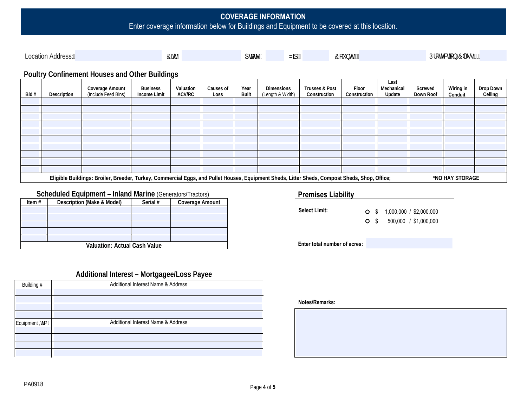# **COVERAGE INFORMATION** Enter coverage information below for Buildings and Equipment to be covered at this location.

| LOCation<br>Address: | ITNT. | SHUY. | NIC <sup>'</sup> | <b>bhm</b> | $\sim$<br>Uar<br>Jtch<br>:hYVMcC |
|----------------------|-------|-------|------------------|------------|----------------------------------|
|                      |       |       |                  |            | . .                              |

### **Poultry Confinement Houses and Other Buildings**

| Bld# | Description | <b>Coverage Amount</b><br>(Include Feed Bins)                                                                                                 | Valuation<br>Year<br>Dimensions<br><b>Business</b><br>Causes of<br><b>ACV/RC</b><br><b>Built</b><br><b>Income Limit</b><br>(Length & Width)<br>Loss |  |  |  |  | <b>Trusses &amp; Post</b><br>Construction | Floor<br>Construction | Last<br>Mechanical<br>Update | Screwed<br>Down Roof | <b>Wiring in</b><br>Conduit | Drop Down<br>Ceiling |
|------|-------------|-----------------------------------------------------------------------------------------------------------------------------------------------|-----------------------------------------------------------------------------------------------------------------------------------------------------|--|--|--|--|-------------------------------------------|-----------------------|------------------------------|----------------------|-----------------------------|----------------------|
|      |             |                                                                                                                                               |                                                                                                                                                     |  |  |  |  |                                           |                       |                              |                      |                             |                      |
|      |             |                                                                                                                                               |                                                                                                                                                     |  |  |  |  |                                           |                       |                              |                      |                             |                      |
|      |             |                                                                                                                                               |                                                                                                                                                     |  |  |  |  |                                           |                       |                              |                      |                             |                      |
|      |             |                                                                                                                                               |                                                                                                                                                     |  |  |  |  |                                           |                       |                              |                      |                             |                      |
|      |             |                                                                                                                                               |                                                                                                                                                     |  |  |  |  |                                           |                       |                              |                      |                             |                      |
|      |             |                                                                                                                                               |                                                                                                                                                     |  |  |  |  |                                           |                       |                              |                      |                             |                      |
|      |             |                                                                                                                                               |                                                                                                                                                     |  |  |  |  |                                           |                       |                              |                      |                             |                      |
|      |             |                                                                                                                                               |                                                                                                                                                     |  |  |  |  |                                           |                       |                              |                      |                             |                      |
|      |             |                                                                                                                                               |                                                                                                                                                     |  |  |  |  |                                           |                       |                              |                      |                             |                      |
|      |             |                                                                                                                                               |                                                                                                                                                     |  |  |  |  |                                           |                       |                              |                      |                             |                      |
|      |             | Eligible Buildings: Broiler, Breeder, Turkey, Commercial Eggs, and Pullet Houses, Equipment Sheds, Litter Sheds, Compost Sheds, Shop, Office; |                                                                                                                                                     |  |  |  |  |                                           |                       |                              |                      | *NO HAY STORAGE             |                      |

#### **Scheduled Equipment – Inland Marine** (Generators/Tractors)

| Item $#$                            | Description (Make & Model) | Serial # | Coverage Amount |  |  |  |  |  |  |  |
|-------------------------------------|----------------------------|----------|-----------------|--|--|--|--|--|--|--|
|                                     |                            |          |                 |  |  |  |  |  |  |  |
|                                     |                            |          |                 |  |  |  |  |  |  |  |
|                                     |                            |          |                 |  |  |  |  |  |  |  |
|                                     |                            |          |                 |  |  |  |  |  |  |  |
|                                     |                            |          |                 |  |  |  |  |  |  |  |
| <b>Valuation: Actual Cash Value</b> |                            |          |                 |  |  |  |  |  |  |  |

#### **Premises Liability**

| <b>Select Limit:</b>         |  | $\bigcirc$ \$ 1,000,000 / \$2,000,000<br>$O$ \$ 500,000 / \$1,000,000 |
|------------------------------|--|-----------------------------------------------------------------------|
|                              |  |                                                                       |
| Enter total number of acres: |  |                                                                       |

## **Additional Interest – Mortgagee/Loss Payee**

|               | ິ<br>-                             |
|---------------|------------------------------------|
| Building #    | Additional Interest Name & Address |
|               |                                    |
|               |                                    |
|               |                                    |
|               |                                    |
| Equipment ¥Ya | Additional Interest Name & Address |
|               |                                    |
|               |                                    |
|               |                                    |
|               |                                    |
|               |                                    |

#### **Notes/Remarks:**